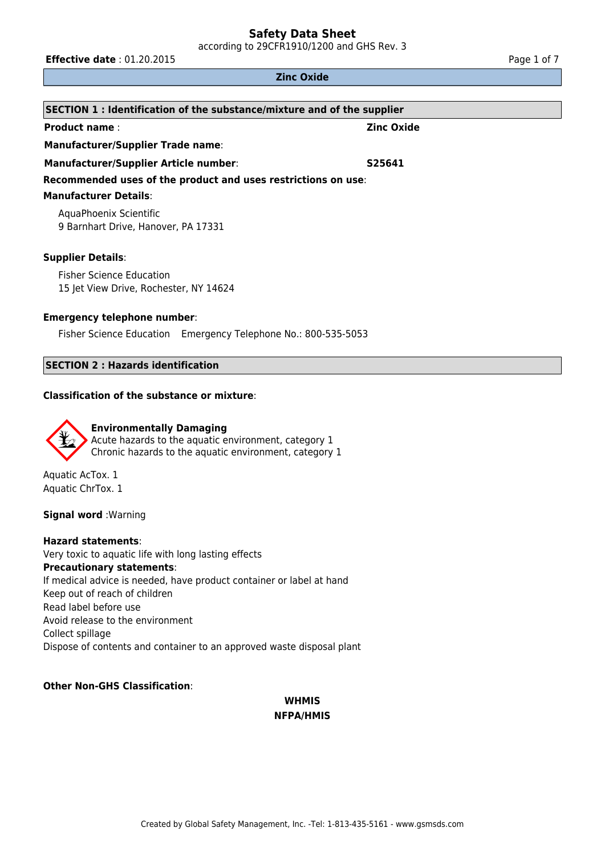according to 29CFR1910/1200 and GHS Rev. 3

**Effective date** : 01.20.2015 **Page 1 of 7 Page 1 of 7** 

#### **Zinc Oxide**

| SECTION 1: Identification of the substance/mixture and of the supplier |                   |  |  |
|------------------------------------------------------------------------|-------------------|--|--|
| <b>Product name:</b>                                                   | <b>Zinc Oxide</b> |  |  |
| <b>Manufacturer/Supplier Trade name:</b>                               |                   |  |  |
| <b>Manufacturer/Supplier Article number:</b>                           | S25641            |  |  |
| Recommended uses of the product and uses restrictions on use:          |                   |  |  |
| <b>Manufacturer Details:</b>                                           |                   |  |  |
| AquaPhoenix Scientific                                                 |                   |  |  |
| 9 Barnhart Drive, Hanover, PA 17331                                    |                   |  |  |
| <b>Supplier Details:</b>                                               |                   |  |  |
| <b>Fisher Science Education</b>                                        |                   |  |  |

15 Jet View Drive, Rochester, NY 14624

## **Emergency telephone number**:

Fisher Science Education Emergency Telephone No.: 800-535-5053

## **SECTION 2 : Hazards identification**

#### **Classification of the substance or mixture**:



Aquatic AcTox. 1 Aquatic ChrTox. 1

**Signal word** :Warning

**Hazard statements**: Very toxic to aquatic life with long lasting effects **Precautionary statements**: If medical advice is needed, have product container or label at hand Keep out of reach of children Read label before use Avoid release to the environment Collect spillage Dispose of contents and container to an approved waste disposal plant

## **Other Non-GHS Classification**:

## **WHMIS NFPA/HMIS**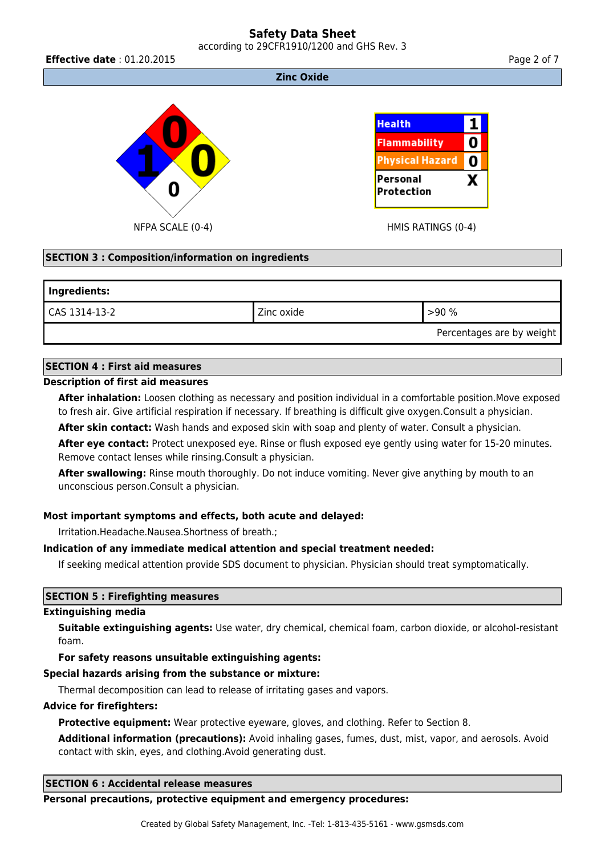## **Safety Data Sheet** according to 29CFR1910/1200 and GHS Rev. 3

**Effective date** : 01.20.2015 **Page 2 of 7 Page 2 of 7** 

#### **Zinc Oxide**



## **SECTION 3 : Composition/information on ingredients**

# **Ingredients:**  $\text{CAS } 1314-13-2$   $\text{Zinc } 0 \times 1314-13-2$   $\text{Zinc } 0 \times 1314-13-2$ Percentages are by weight

## **SECTION 4 : First aid measures**

## **Description of first aid measures**

**After inhalation:** Loosen clothing as necessary and position individual in a comfortable position.Move exposed to fresh air. Give artificial respiration if necessary. If breathing is difficult give oxygen.Consult a physician.

**After skin contact:** Wash hands and exposed skin with soap and plenty of water. Consult a physician.

**After eye contact:** Protect unexposed eye. Rinse or flush exposed eye gently using water for 15-20 minutes. Remove contact lenses while rinsing.Consult a physician.

**After swallowing:** Rinse mouth thoroughly. Do not induce vomiting. Never give anything by mouth to an unconscious person.Consult a physician.

## **Most important symptoms and effects, both acute and delayed:**

Irritation.Headache.Nausea.Shortness of breath.;

## **Indication of any immediate medical attention and special treatment needed:**

If seeking medical attention provide SDS document to physician. Physician should treat symptomatically.

## **SECTION 5 : Firefighting measures**

## **Extinguishing media**

**Suitable extinguishing agents:** Use water, dry chemical, chemical foam, carbon dioxide, or alcohol-resistant foam.

## **For safety reasons unsuitable extinguishing agents:**

## **Special hazards arising from the substance or mixture:**

Thermal decomposition can lead to release of irritating gases and vapors.

## **Advice for firefighters:**

**Protective equipment:** Wear protective eyeware, gloves, and clothing. Refer to Section 8.

**Additional information (precautions):** Avoid inhaling gases, fumes, dust, mist, vapor, and aerosols. Avoid contact with skin, eyes, and clothing.Avoid generating dust.

#### **SECTION 6 : Accidental release measures**

#### **Personal precautions, protective equipment and emergency procedures:**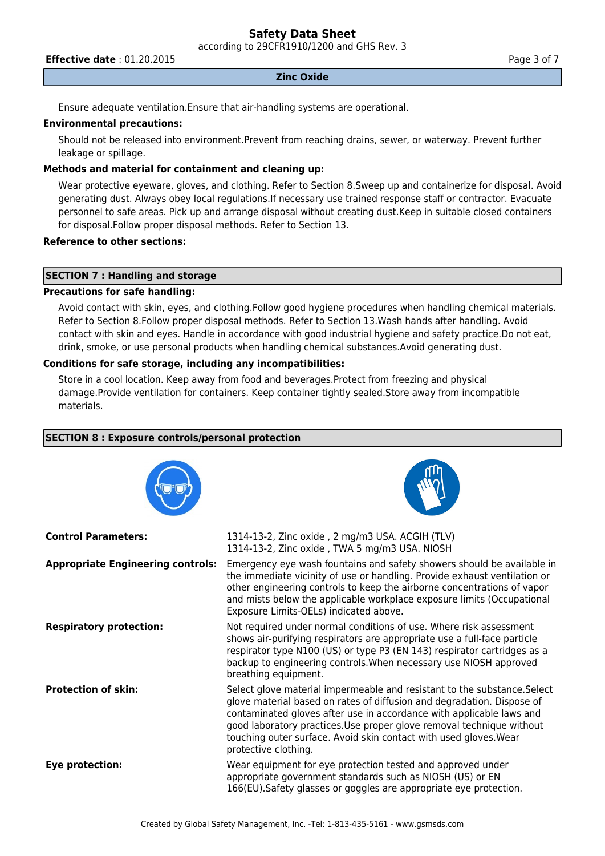according to 29CFR1910/1200 and GHS Rev. 3

**Effective date** : 01.20.2015 **Page 3 of 7 Page 3 of 7** 

#### **Zinc Oxide**

Ensure adequate ventilation.Ensure that air-handling systems are operational.

#### **Environmental precautions:**

Should not be released into environment.Prevent from reaching drains, sewer, or waterway. Prevent further leakage or spillage.

### **Methods and material for containment and cleaning up:**

Wear protective eyeware, gloves, and clothing. Refer to Section 8.Sweep up and containerize for disposal. Avoid generating dust. Always obey local regulations.If necessary use trained response staff or contractor. Evacuate personnel to safe areas. Pick up and arrange disposal without creating dust.Keep in suitable closed containers for disposal.Follow proper disposal methods. Refer to Section 13.

### **Reference to other sections:**

## **SECTION 7 : Handling and storage**

## **Precautions for safe handling:**

Avoid contact with skin, eyes, and clothing.Follow good hygiene procedures when handling chemical materials. Refer to Section 8.Follow proper disposal methods. Refer to Section 13.Wash hands after handling. Avoid contact with skin and eyes. Handle in accordance with good industrial hygiene and safety practice.Do not eat, drink, smoke, or use personal products when handling chemical substances.Avoid generating dust.

#### **Conditions for safe storage, including any incompatibilities:**

Store in a cool location. Keep away from food and beverages.Protect from freezing and physical damage.Provide ventilation for containers. Keep container tightly sealed.Store away from incompatible materials.

#### **SECTION 8 : Exposure controls/personal protection**





| <b>Control Parameters:</b>               | 1314-13-2, Zinc oxide, 2 mg/m3 USA. ACGIH (TLV)<br>1314-13-2, Zinc oxide, TWA 5 mg/m3 USA. NIOSH                                                                                                                                                                                                                                                                                                 |
|------------------------------------------|--------------------------------------------------------------------------------------------------------------------------------------------------------------------------------------------------------------------------------------------------------------------------------------------------------------------------------------------------------------------------------------------------|
| <b>Appropriate Engineering controls:</b> | Emergency eye wash fountains and safety showers should be available in<br>the immediate vicinity of use or handling. Provide exhaust ventilation or<br>other engineering controls to keep the airborne concentrations of vapor<br>and mists below the applicable workplace exposure limits (Occupational<br>Exposure Limits-OELs) indicated above.                                               |
| <b>Respiratory protection:</b>           | Not required under normal conditions of use. Where risk assessment<br>shows air-purifying respirators are appropriate use a full-face particle<br>respirator type N100 (US) or type P3 (EN 143) respirator cartridges as a<br>backup to engineering controls. When necessary use NIOSH approved<br>breathing equipment.                                                                          |
| <b>Protection of skin:</b>               | Select glove material impermeable and resistant to the substance. Select<br>glove material based on rates of diffusion and degradation. Dispose of<br>contaminated gloves after use in accordance with applicable laws and<br>good laboratory practices. Use proper glove removal technique without<br>touching outer surface. Avoid skin contact with used gloves. Wear<br>protective clothing. |
| Eye protection:                          | Wear equipment for eye protection tested and approved under<br>appropriate government standards such as NIOSH (US) or EN<br>166(EU). Safety glasses or goggles are appropriate eye protection.                                                                                                                                                                                                   |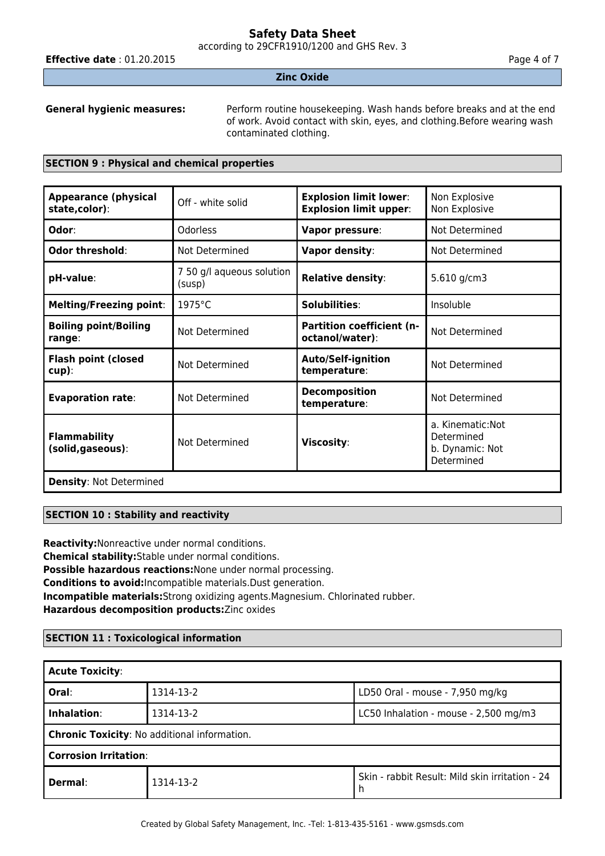according to 29CFR1910/1200 and GHS Rev. 3

**Effective date** : 01.20.2015 **Page 4 of 7 Page 4 of 7** 

#### **Zinc Oxide**

**General hygienic measures:** Perform routine housekeeping. Wash hands before breaks and at the end of work. Avoid contact with skin, eyes, and clothing.Before wearing wash contaminated clothing.

#### **SECTION 9 : Physical and chemical properties**

| <b>Appearance (physical</b><br>state,color): | Off - white solid                   | <b>Explosion limit lower:</b><br><b>Explosion limit upper:</b> | Non Explosive<br>Non Explosive                                   |
|----------------------------------------------|-------------------------------------|----------------------------------------------------------------|------------------------------------------------------------------|
| Odor:                                        | <b>Odorless</b>                     | Vapor pressure:                                                | Not Determined                                                   |
| Odor threshold:                              | Not Determined                      | Vapor density:                                                 | Not Determined                                                   |
| pH-value:                                    | 7 50 g/l aqueous solution<br>(susp) | <b>Relative density:</b>                                       | 5.610 g/cm3                                                      |
| <b>Melting/Freezing point:</b>               | 1975°C                              | Solubilities:                                                  | Insoluble                                                        |
| <b>Boiling point/Boiling</b><br>range:       | Not Determined                      | <b>Partition coefficient (n-</b><br>octanol/water):            | Not Determined                                                   |
| <b>Flash point (closed</b><br>$cup$ ):       | Not Determined                      | <b>Auto/Self-ignition</b><br>temperature:                      | Not Determined                                                   |
| <b>Evaporation rate:</b>                     | Not Determined                      | <b>Decomposition</b><br>temperature:                           | Not Determined                                                   |
| <b>Flammability</b><br>(solid, gaseous):     | Not Determined                      | Viscosity:                                                     | a. Kinematic: Not<br>Determined<br>b. Dynamic: Not<br>Determined |
| <b>Density: Not Determined</b>               |                                     |                                                                |                                                                  |

## **SECTION 10 : Stability and reactivity**

**Reactivity:**Nonreactive under normal conditions. **Chemical stability:**Stable under normal conditions. **Possible hazardous reactions:**None under normal processing. **Conditions to avoid:**Incompatible materials.Dust generation. **Incompatible materials:**Strong oxidizing agents.Magnesium. Chlorinated rubber. **Hazardous decomposition products:**Zinc oxides

## **SECTION 11 : Toxicological information**

| <b>Acute Toxicity:</b>                              |           |                                                 |  |
|-----------------------------------------------------|-----------|-------------------------------------------------|--|
| Oral:                                               | 1314-13-2 | LD50 Oral - mouse - 7,950 mg/kg                 |  |
| Inhalation:                                         | 1314-13-2 | LC50 Inhalation - mouse - 2,500 mg/m3           |  |
| <b>Chronic Toxicity: No additional information.</b> |           |                                                 |  |
| <b>Corrosion Irritation:</b>                        |           |                                                 |  |
| Dermal:                                             | 1314-13-2 | Skin - rabbit Result: Mild skin irritation - 24 |  |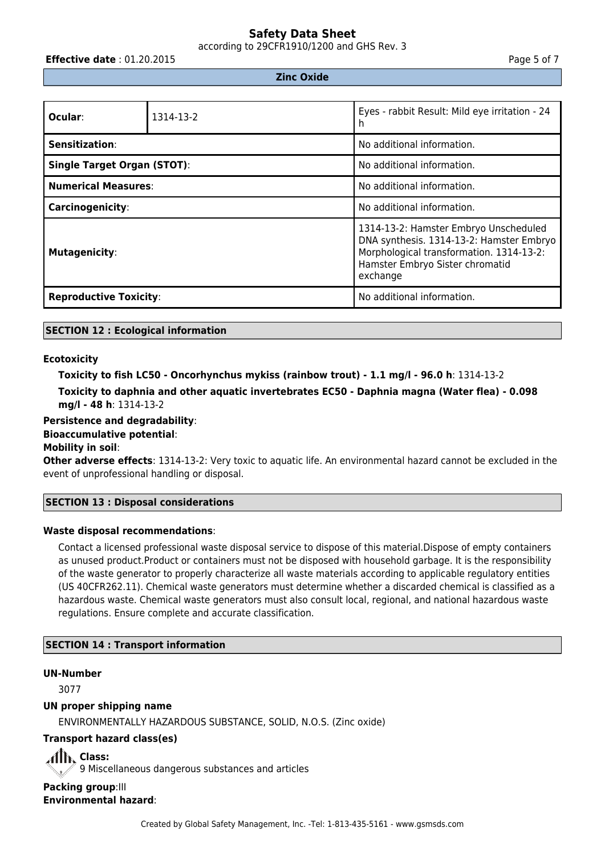according to 29CFR1910/1200 and GHS Rev. 3

**Effective date** : 01.20.2015 **Page 5 of 7 Page 5 of 7** 

### **Zinc Oxide**

| Ocular:                            | 1314-13-2 | Eyes - rabbit Result: Mild eye irritation - 24<br>n                                                                                                                          |  |
|------------------------------------|-----------|------------------------------------------------------------------------------------------------------------------------------------------------------------------------------|--|
| Sensitization:                     |           | No additional information.                                                                                                                                                   |  |
| <b>Single Target Organ (STOT):</b> |           | No additional information.                                                                                                                                                   |  |
| <b>Numerical Measures:</b>         |           | No additional information.                                                                                                                                                   |  |
| <b>Carcinogenicity:</b>            |           | No additional information.                                                                                                                                                   |  |
| <b>Mutagenicity:</b>               |           | 1314-13-2: Hamster Embryo Unscheduled<br>DNA synthesis. 1314-13-2: Hamster Embryo<br>Morphological transformation. 1314-13-2:<br>Hamster Embryo Sister chromatid<br>exchange |  |
| <b>Reproductive Toxicity:</b>      |           | No additional information.                                                                                                                                                   |  |

#### **SECTION 12 : Ecological information**

#### **Ecotoxicity**

```
Toxicity to fish LC50 - Oncorhynchus mykiss (rainbow trout) - 1.1 mg/l - 96.0 h: 1314-13-2
Toxicity to daphnia and other aquatic invertebrates EC50 - Daphnia magna (Water flea) - 0.098
mg/l - 48 h: 1314-13-2
```
#### **Persistence and degradability**:

#### **Bioaccumulative potential**:

#### **Mobility in soil**:

**Other adverse effects**: 1314-13-2: Very toxic to aquatic life. An environmental hazard cannot be excluded in the event of unprofessional handling or disposal.

#### **SECTION 13 : Disposal considerations**

#### **Waste disposal recommendations**:

Contact a licensed professional waste disposal service to dispose of this material.Dispose of empty containers as unused product.Product or containers must not be disposed with household garbage. It is the responsibility of the waste generator to properly characterize all waste materials according to applicable regulatory entities (US 40CFR262.11). Chemical waste generators must determine whether a discarded chemical is classified as a hazardous waste. Chemical waste generators must also consult local, regional, and national hazardous waste regulations. Ensure complete and accurate classification.

## **SECTION 14 : Transport information**

#### **UN-Number**

3077

#### **UN proper shipping name**

ENVIRONMENTALLY HAZARDOUS SUBSTANCE, SOLID, N.O.S. (Zinc oxide)

## **Transport hazard class(es)**

All<sup>k</sup> Class: 9 Miscellaneous dangerous substances and articles **Packing group: III** 

**Environmental hazard**: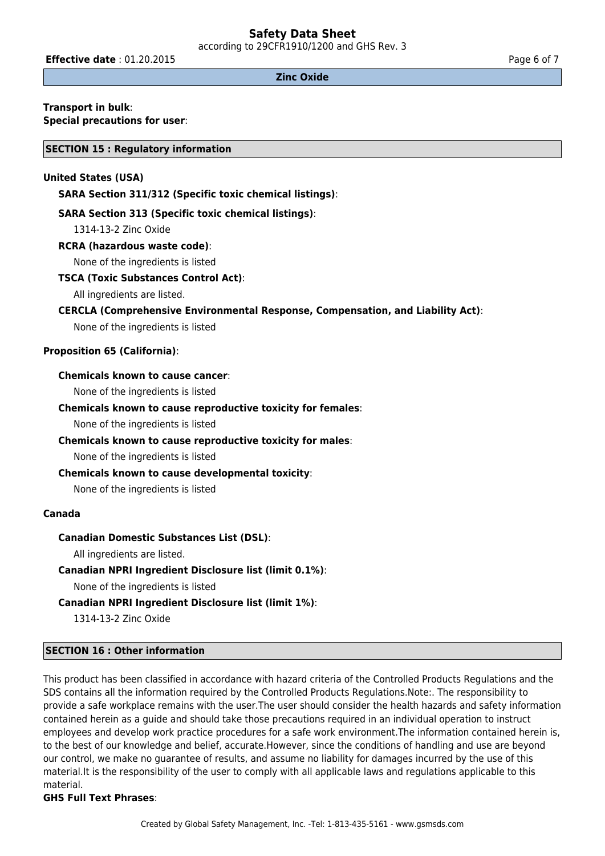according to 29CFR1910/1200 and GHS Rev. 3

**Effective date** : 01.20.2015 **Page 6 of 7 Page 6 of 7** 

#### **Zinc Oxide**

#### **Transport in bulk**: **Special precautions for user**:

**SECTION 15 : Regulatory information**

### **United States (USA)**

**SARA Section 311/312 (Specific toxic chemical listings)**:

### **SARA Section 313 (Specific toxic chemical listings)**:

1314-13-2 Zinc Oxide

## **RCRA (hazardous waste code)**:

None of the ingredients is listed

#### **TSCA (Toxic Substances Control Act)**:

All ingredients are listed.

#### **CERCLA (Comprehensive Environmental Response, Compensation, and Liability Act)**:

None of the ingredients is listed

## **Proposition 65 (California)**:

## **Chemicals known to cause cancer**:

None of the ingredients is listed

#### **Chemicals known to cause reproductive toxicity for females**:

None of the ingredients is listed

## **Chemicals known to cause reproductive toxicity for males**:

None of the ingredients is listed

## **Chemicals known to cause developmental toxicity**:

None of the ingredients is listed

#### **Canada**

## **Canadian Domestic Substances List (DSL)**:

All ingredients are listed.

## **Canadian NPRI Ingredient Disclosure list (limit 0.1%)**:

None of the ingredients is listed

## **Canadian NPRI Ingredient Disclosure list (limit 1%)**:

1314-13-2 Zinc Oxide

## **SECTION 16 : Other information**

This product has been classified in accordance with hazard criteria of the Controlled Products Regulations and the SDS contains all the information required by the Controlled Products Regulations.Note:. The responsibility to provide a safe workplace remains with the user.The user should consider the health hazards and safety information contained herein as a guide and should take those precautions required in an individual operation to instruct employees and develop work practice procedures for a safe work environment.The information contained herein is, to the best of our knowledge and belief, accurate.However, since the conditions of handling and use are beyond our control, we make no guarantee of results, and assume no liability for damages incurred by the use of this material.It is the responsibility of the user to comply with all applicable laws and regulations applicable to this material.

## **GHS Full Text Phrases**: